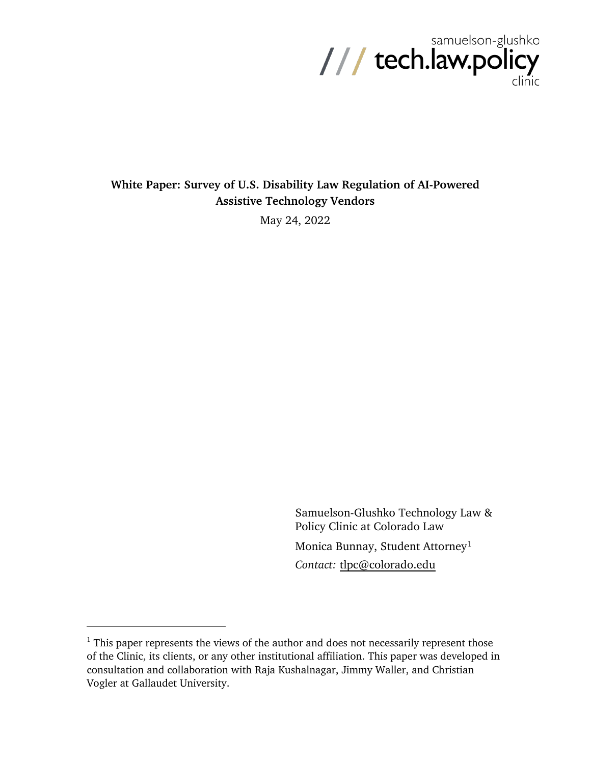

# **White Paper: Survey of U.S. Disability Law Regulation of AI-Powered Assistive Technology Vendors**

May 24, 2022

Samuelson-Glushko Technology Law & Policy Clinic at Colorado Law Monica Bunnay, Student Attorney<sup>[1](#page-0-0)</sup> *Contact:* [tlpc@colorado.edu](mailto:tlpc@colorado.edu)

<span id="page-0-0"></span> $1$  This paper represents the views of the author and does not necessarily represent those of the Clinic, its clients, or any other institutional affiliation. This paper was developed in consultation and collaboration with Raja Kushalnagar, Jimmy Waller, and Christian Vogler at Gallaudet University.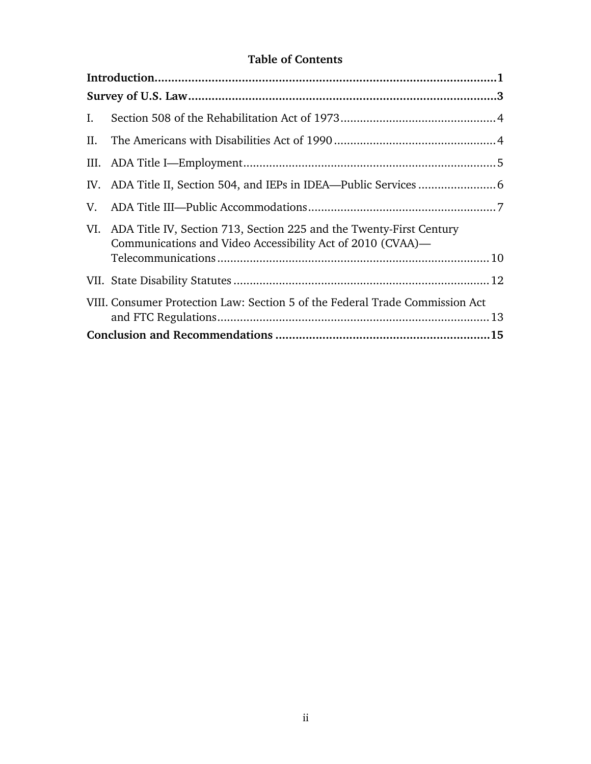# **Table of Contents**

| Ι.  |                                                                                                                                   |
|-----|-----------------------------------------------------------------------------------------------------------------------------------|
| II. |                                                                                                                                   |
|     |                                                                                                                                   |
|     |                                                                                                                                   |
| V.  |                                                                                                                                   |
| VI. | ADA Title IV, Section 713, Section 225 and the Twenty-First Century<br>Communications and Video Accessibility Act of 2010 (CVAA)— |
|     |                                                                                                                                   |
|     | VIII. Consumer Protection Law: Section 5 of the Federal Trade Commission Act                                                      |
|     |                                                                                                                                   |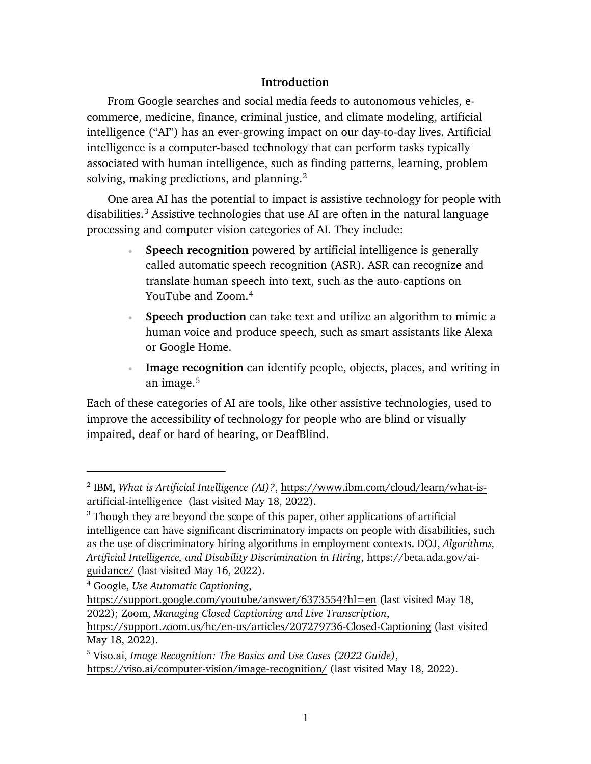## **Introduction**

<span id="page-2-0"></span>From Google searches and social media feeds to autonomous vehicles, ecommerce, medicine, finance, criminal justice, and climate modeling, artificial intelligence ("AI") has an ever-growing impact on our day-to-day lives. Artificial intelligence is a computer-based technology that can perform tasks typically associated with human intelligence, such as finding patterns, learning, problem solving, making predictions, and planning. $<sup>2</sup>$  $<sup>2</sup>$  $<sup>2</sup>$ </sup>

One area AI has the potential to impact is assistive technology for people with disabilities.<sup>[3](#page-2-2)</sup> Assistive technologies that use AI are often in the natural language processing and computer vision categories of AI. They include:

- **Speech recognition** powered by artificial intelligence is generally called automatic speech recognition (ASR). ASR can recognize and translate human speech into text, such as the auto-captions on YouTube and Zoom.[4](#page-2-3)
- **Speech production** can take text and utilize an algorithm to mimic a human voice and produce speech, such as smart assistants like Alexa or Google Home.
- **Image recognition** can identify people, objects, places, and writing in an image. [5](#page-2-4)

Each of these categories of AI are tools, like other assistive technologies, used to improve the accessibility of technology for people who are blind or visually impaired, deaf or hard of hearing, or DeafBlind.

<span id="page-2-1"></span><sup>2</sup> IBM, *What is Artificial Intelligence (AI)?*, [https://www.ibm.com/cloud/learn/what-is](https://www.ibm.com/cloud/learn/what-is-artificial-intelligence)[artificial-intelligence](https://www.ibm.com/cloud/learn/what-is-artificial-intelligence) (last visited May 18, 2022).

<span id="page-2-2"></span> $3$  Though they are beyond the scope of this paper, other applications of artificial intelligence can have significant discriminatory impacts on people with disabilities, such as the use of discriminatory hiring algorithms in employment contexts. DOJ, *Algorithms, Artificial Intelligence, and Disability Discrimination in Hiring*, [https://beta.ada.gov/ai](https://beta.ada.gov/ai-guidance/)[guidance/](https://beta.ada.gov/ai-guidance/) (last visited May 16, 2022).

<span id="page-2-3"></span><sup>4</sup> Google, *Use Automatic Captioning*,

<https://support.google.com/youtube/answer/6373554?hl=en> (last visited May 18, 2022); Zoom, *Managing Closed Captioning and Live Transcription*,

<https://support.zoom.us/hc/en-us/articles/207279736-Closed-Captioning> (last visited May 18, 2022).

<span id="page-2-4"></span><sup>5</sup> Viso.ai, *Image Recognition: The Basics and Use Cases (2022 Guide)*, <https://viso.ai/computer-vision/image-recognition/> (last visited May 18, 2022).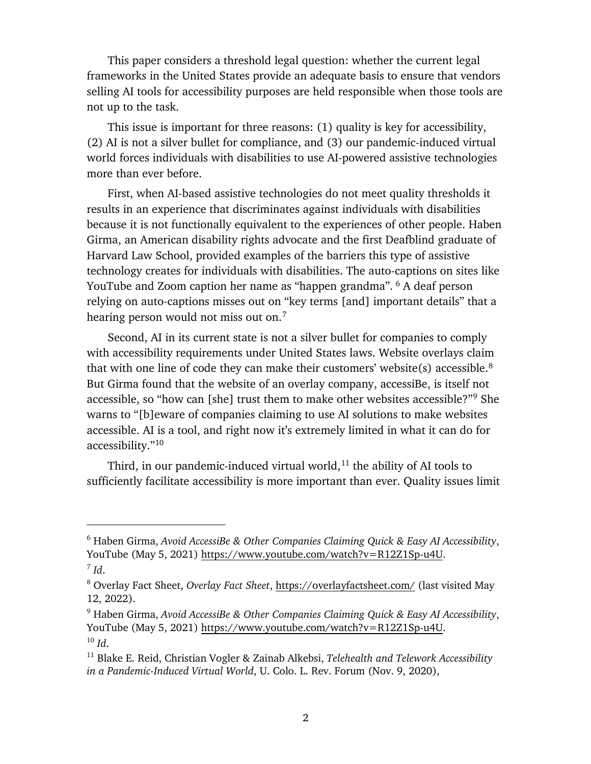This paper considers a threshold legal question: whether the current legal frameworks in the United States provide an adequate basis to ensure that vendors selling AI tools for accessibility purposes are held responsible when those tools are not up to the task.

This issue is important for three reasons: (1) quality is key for accessibility, (2) AI is not a silver bullet for compliance, and (3) our pandemic-induced virtual world forces individuals with disabilities to use AI-powered assistive technologies more than ever before.

First, when AI-based assistive technologies do not meet quality thresholds it results in an experience that discriminates against individuals with disabilities because it is not functionally equivalent to the experiences of other people. Haben Girma, an American disability rights advocate and the first Deafblind graduate of Harvard Law School, provided examples of the barriers this type of assistive technology creates for individuals with disabilities. The auto-captions on sites like YouTube and Zoom caption her name as "happen grandma". <sup>[6](#page-3-0)</sup> A deaf person relying on auto-captions misses out on "key terms [and] important details" that a hearing person would not miss out on.<sup>[7](#page-3-1)</sup>

Second, AI in its current state is not a silver bullet for companies to comply with accessibility requirements under United States laws. Website overlays claim that with one line of code they can make their customers' website(s) accessible.<sup>8</sup> But Girma found that the website of an overlay company, accessiBe, is itself not accessible, so "how can [she] trust them to make other websites accessible?"[9](#page-3-3) She warns to "[b]eware of companies claiming to use AI solutions to make websites accessible. AI is a tool, and right now it's extremely limited in what it can do for accessibility."[10](#page-3-4) 

Third, in our pandemic-induced virtual world,<sup>[11](#page-3-5)</sup> the ability of AI tools to sufficiently facilitate accessibility is more important than ever. Quality issues limit

<span id="page-3-0"></span><sup>6</sup> Haben Girma, *Avoid AccessiBe & Other Companies Claiming Quick & Easy AI Accessibility*, YouTube (May 5, 2021) [https://www.youtube.com/watch?v=R12Z1Sp-u4U.](https://www.youtube.com/watch?v=R12Z1Sp-u4U) <sup>7</sup> *Id*.

<span id="page-3-2"></span><span id="page-3-1"></span><sup>8</sup> Overlay Fact Sheet, *Overlay Fact Sheet*,<https://overlayfactsheet.com/> (last visited May 12, 2022).

<span id="page-3-3"></span><sup>9</sup> Haben Girma, *Avoid AccessiBe & Other Companies Claiming Quick & Easy AI Accessibility*, YouTube (May 5, 2021) [https://www.youtube.com/watch?v=R12Z1Sp-u4U.](https://www.youtube.com/watch?v=R12Z1Sp-u4U) <sup>10</sup> *Id*.

<span id="page-3-5"></span><span id="page-3-4"></span><sup>11</sup> Blake E. Reid, Christian Vogler & Zainab Alkebsi, *Telehealth and Telework Accessibility in a Pandemic-Induced Virtual World*, U. Colo. L. Rev. Forum (Nov. 9, 2020),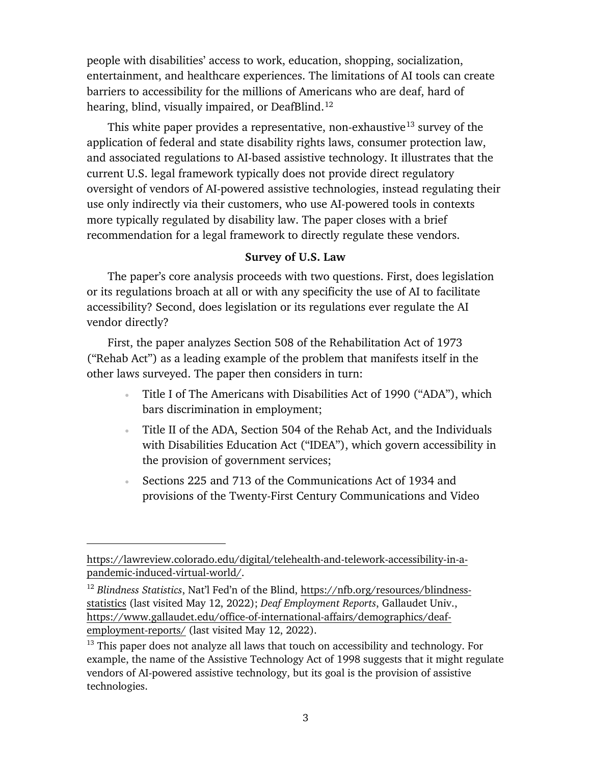people with disabilities' access to work, education, shopping, socialization, entertainment, and healthcare experiences. The limitations of AI tools can create barriers to accessibility for the millions of Americans who are deaf, hard of hearing, blind, visually impaired, or DeafBlind.<sup>[12](#page-4-1)</sup>

This white paper provides a representative, non-exhaustive<sup>[13](#page-4-2)</sup> survey of the application of federal and state disability rights laws, consumer protection law, and associated regulations to AI-based assistive technology. It illustrates that the current U.S. legal framework typically does not provide direct regulatory oversight of vendors of AI-powered assistive technologies, instead regulating their use only indirectly via their customers, who use AI-powered tools in contexts more typically regulated by disability law. The paper closes with a brief recommendation for a legal framework to directly regulate these vendors.

### **Survey of U.S. Law**

<span id="page-4-0"></span>The paper's core analysis proceeds with two questions. First, does legislation or its regulations broach at all or with any specificity the use of AI to facilitate accessibility? Second, does legislation or its regulations ever regulate the AI vendor directly?

First, the paper analyzes Section 508 of the Rehabilitation Act of 1973 ("Rehab Act") as a leading example of the problem that manifests itself in the other laws surveyed. The paper then considers in turn:

- Title I of The Americans with Disabilities Act of 1990 ("ADA"), which bars discrimination in employment;
- Title II of the ADA, Section 504 of the Rehab Act, and the Individuals with Disabilities Education Act ("IDEA"), which govern accessibility in the provision of government services;
- Sections 225 and 713 of the Communications Act of 1934 and provisions of the Twenty-First Century Communications and Video

[https://lawreview.colorado.edu/digital/telehealth-and-telework-accessibility-in-a](https://lawreview.colorado.edu/digital/telehealth-and-telework-accessibility-in-a-pandemic-induced-virtual-world/)[pandemic-induced-virtual-world/.](https://lawreview.colorado.edu/digital/telehealth-and-telework-accessibility-in-a-pandemic-induced-virtual-world/)

<span id="page-4-1"></span><sup>12</sup> *Blindness Statistics*, Nat'l Fed'n of the Blind, [https://nfb.org/resources/blindness](https://nfb.org/resources/blindness-statistics)[statistics](https://nfb.org/resources/blindness-statistics) (last visited May 12, 2022); *Deaf Employment Reports*, Gallaudet Univ., [https://www.gallaudet.edu/office-of-international-affairs/demographics/deaf](https://www.gallaudet.edu/office-of-international-affairs/demographics/deaf-employment-reports/)[employment-reports/](https://www.gallaudet.edu/office-of-international-affairs/demographics/deaf-employment-reports/) (last visited May 12, 2022).

<span id="page-4-2"></span> $13$  This paper does not analyze all laws that touch on accessibility and technology. For example, the name of the Assistive Technology Act of 1998 suggests that it might regulate vendors of AI-powered assistive technology, but its goal is the provision of assistive technologies.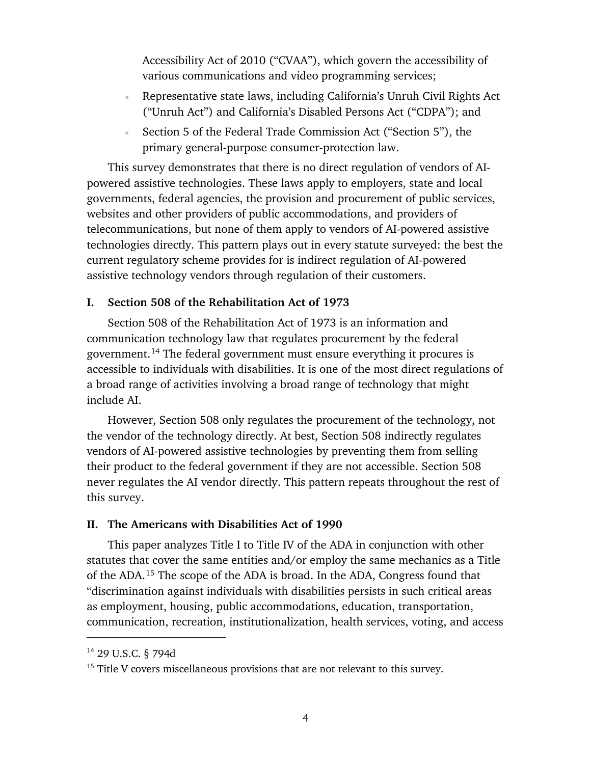Accessibility Act of 2010 ("CVAA"), which govern the accessibility of various communications and video programming services;

- Representative state laws, including California's Unruh Civil Rights Act ("Unruh Act") and California's Disabled Persons Act ("CDPA"); and
- Section 5 of the Federal Trade Commission Act ("Section 5"), the primary general-purpose consumer-protection law.

This survey demonstrates that there is no direct regulation of vendors of AIpowered assistive technologies. These laws apply to employers, state and local governments, federal agencies, the provision and procurement of public services, websites and other providers of public accommodations, and providers of telecommunications, but none of them apply to vendors of AI-powered assistive technologies directly. This pattern plays out in every statute surveyed: the best the current regulatory scheme provides for is indirect regulation of AI-powered assistive technology vendors through regulation of their customers.

## <span id="page-5-0"></span>**I. Section 508 of the Rehabilitation Act of 1973**

Section 508 of the Rehabilitation Act of 1973 is an information and communication technology law that regulates procurement by the federal government.[14](#page-5-2) The federal government must ensure everything it procures is accessible to individuals with disabilities. It is one of the most direct regulations of a broad range of activities involving a broad range of technology that might include AI.

However, Section 508 only regulates the procurement of the technology, not the vendor of the technology directly. At best, Section 508 indirectly regulates vendors of AI-powered assistive technologies by preventing them from selling their product to the federal government if they are not accessible. Section 508 never regulates the AI vendor directly. This pattern repeats throughout the rest of this survey.

#### <span id="page-5-1"></span>**II. The Americans with Disabilities Act of 1990**

This paper analyzes Title I to Title IV of the ADA in conjunction with other statutes that cover the same entities and/or employ the same mechanics as a Title of the ADA.[15](#page-5-3) The scope of the ADA is broad. In the ADA, Congress found that "discrimination against individuals with disabilities persists in such critical areas as employment, housing, public accommodations, education, transportation, communication, recreation, institutionalization, health services, voting, and access

<span id="page-5-2"></span><sup>14</sup> 29 U.S.C. § 794d

<span id="page-5-3"></span> $15$  Title V covers miscellaneous provisions that are not relevant to this survey.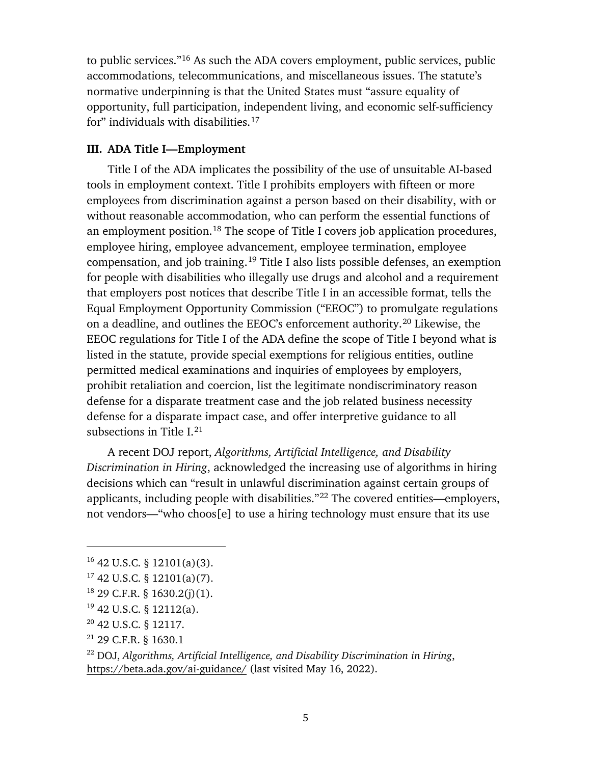to public services."[16](#page-6-1) As such the ADA covers employment, public services, public accommodations, telecommunications, and miscellaneous issues. The statute's normative underpinning is that the United States must "assure equality of opportunity, full participation, independent living, and economic self-sufficiency for" individuals with disabilities.<sup>[17](#page-6-2)</sup>

## <span id="page-6-0"></span>**III. ADA Title I—Employment**

Title I of the ADA implicates the possibility of the use of unsuitable AI-based tools in employment context. Title I prohibits employers with fifteen or more employees from discrimination against a person based on their disability, with or without reasonable accommodation, who can perform the essential functions of an employment position.<sup>[18](#page-6-3)</sup> The scope of Title I covers job application procedures, employee hiring, employee advancement, employee termination, employee compensation, and job training.<sup>[19](#page-6-4)</sup> Title I also lists possible defenses, an exemption for people with disabilities who illegally use drugs and alcohol and a requirement that employers post notices that describe Title I in an accessible format, tells the Equal Employment Opportunity Commission ("EEOC") to promulgate regulations on a deadline, and outlines the EEOC's enforcement authority.[20](#page-6-5) Likewise, the EEOC regulations for Title I of the ADA define the scope of Title I beyond what is listed in the statute, provide special exemptions for religious entities, outline permitted medical examinations and inquiries of employees by employers, prohibit retaliation and coercion, list the legitimate nondiscriminatory reason defense for a disparate treatment case and the job related business necessity defense for a disparate impact case, and offer interpretive guidance to all subsections in Title  $I^{21}$  $I^{21}$  $I^{21}$ 

A recent DOJ report, *Algorithms, Artificial Intelligence, and Disability Discrimination in Hiring*, acknowledged the increasing use of algorithms in hiring decisions which can "result in unlawful discrimination against certain groups of applicants, including people with disabilities."[22](#page-6-7) The covered entities—employers, not vendors—"who choos<sup>[e]</sup> to use a hiring technology must ensure that its use

 $\overline{a}$ 

<span id="page-6-6"></span><sup>21</sup> 29 C.F.R. § 1630.1

<span id="page-6-1"></span> $16$  42 U.S.C. § 12101(a)(3).

<span id="page-6-2"></span> $17$  42 U.S.C. § 12101(a)(7).

<span id="page-6-3"></span> $18$  29 C.F.R. § 1630.2(j)(1).

<span id="page-6-4"></span> $19$  42 U.S.C. § 12112(a).

<span id="page-6-5"></span><sup>20</sup> 42 U.S.C. § 12117.

<span id="page-6-7"></span><sup>22</sup> DOJ, *Algorithms, Artificial Intelligence, and Disability Discrimination in Hiring*, <https://beta.ada.gov/ai-guidance/> (last visited May 16, 2022).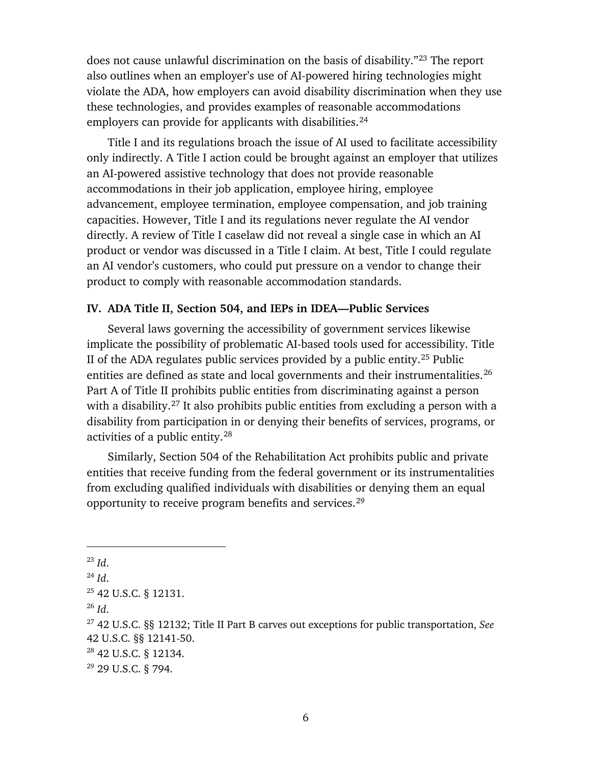does not cause unlawful discrimination on the basis of disability."<sup>[23](#page-7-1)</sup> The report also outlines when an employer's use of AI-powered hiring technologies might violate the ADA, how employers can avoid disability discrimination when they use these technologies, and provides examples of reasonable accommodations employers can provide for applicants with disabilities.<sup>[24](#page-7-2)</sup>

Title I and its regulations broach the issue of AI used to facilitate accessibility only indirectly. A Title I action could be brought against an employer that utilizes an AI-powered assistive technology that does not provide reasonable accommodations in their job application, employee hiring, employee advancement, employee termination, employee compensation, and job training capacities. However, Title I and its regulations never regulate the AI vendor directly. A review of Title I caselaw did not reveal a single case in which an AI product or vendor was discussed in a Title I claim. At best, Title I could regulate an AI vendor's customers, who could put pressure on a vendor to change their product to comply with reasonable accommodation standards.

#### <span id="page-7-0"></span>**IV. ADA Title II, Section 504, and IEPs in IDEA—Public Services**

Several laws governing the accessibility of government services likewise implicate the possibility of problematic AI-based tools used for accessibility. Title II of the ADA regulates public services provided by a public entity.<sup>[25](#page-7-3)</sup> Public entities are defined as state and local governments and their instrumentalities.<sup>[26](#page-7-4)</sup> Part A of Title II prohibits public entities from discriminating against a person with a disability.<sup>27</sup> It also prohibits public entities from excluding a person with a disability from participation in or denying their benefits of services, programs, or activities of a public entity.[28](#page-7-6)

Similarly, Section 504 of the Rehabilitation Act prohibits public and private entities that receive funding from the federal government or its instrumentalities from excluding qualified individuals with disabilities or denying them an equal opportunity to receive program benefits and services.<sup>[29](#page-7-7)</sup>

<span id="page-7-1"></span> $^{23}$  *Id*.

<span id="page-7-2"></span><sup>24</sup> *Id*.

<span id="page-7-3"></span><sup>25</sup> 42 U.S.C. § 12131.

<span id="page-7-4"></span><sup>26</sup> *Id*.

<span id="page-7-5"></span><sup>27</sup> 42 U.S.C. §§ 12132; Title II Part B carves out exceptions for public transportation, *See* 42 U.S.C. §§ 12141-50.

<span id="page-7-6"></span><sup>28</sup> 42 U.S.C. § 12134.

<span id="page-7-7"></span> $^{29}$  29 U.S.C. § 794.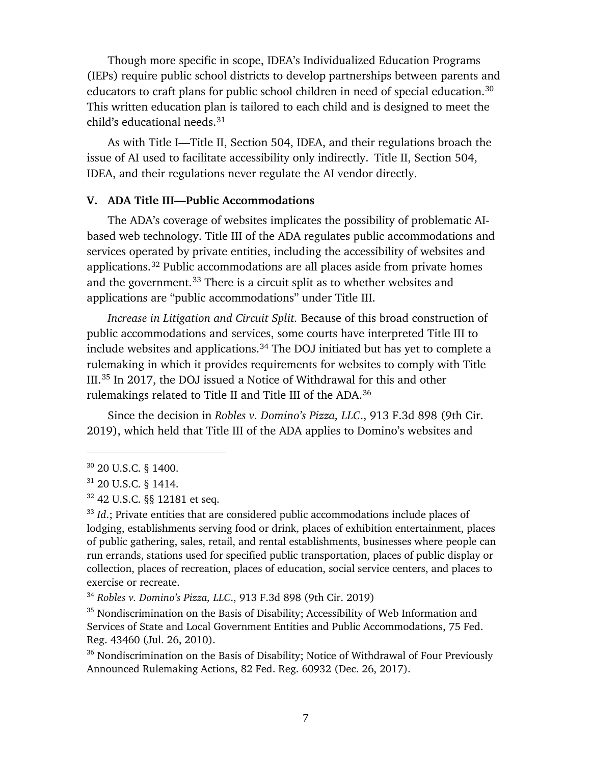Though more specific in scope, IDEA's Individualized Education Programs (IEPs) require public school districts to develop partnerships between parents and educators to craft plans for public school children in need of special education.<sup>[30](#page-8-1)</sup> This written education plan is tailored to each child and is designed to meet the child's educational needs.<sup>[31](#page-8-2)</sup>

As with Title I—Title II, Section 504, IDEA, and their regulations broach the issue of AI used to facilitate accessibility only indirectly. Title II, Section 504, IDEA, and their regulations never regulate the AI vendor directly.

#### <span id="page-8-0"></span>**V. ADA Title III—Public Accommodations**

The ADA's coverage of websites implicates the possibility of problematic AIbased web technology. Title III of the ADA regulates public accommodations and services operated by private entities, including the accessibility of websites and applications.[32](#page-8-3) Public accommodations are all places aside from private homes and the government.<sup>[33](#page-8-4)</sup> There is a circuit split as to whether websites and applications are "public accommodations" under Title III.

*Increase in Litigation and Circuit Split.* Because of this broad construction of public accommodations and services, some courts have interpreted Title III to include websites and applications.<sup>[34](#page-8-5)</sup> The DOJ initiated but has yet to complete a rulemaking in which it provides requirements for websites to comply with Title III.[35](#page-8-6) In 2017, the DOJ issued a Notice of Withdrawal for this and other rulemakings related to Title II and Title III of the ADA.[36](#page-8-7)

Since the decision in *Robles v. Domino's Pizza, LLC*., 913 F.3d 898 (9th Cir. 2019), which held that Title III of the ADA applies to Domino's websites and

<span id="page-8-1"></span><sup>30</sup> 20 U.S.C. § 1400.

<span id="page-8-2"></span> $31$  20 U.S.C. § 1414.

<span id="page-8-3"></span><sup>32</sup> 42 U.S.C. §§ 12181 et seq.

<span id="page-8-4"></span><sup>&</sup>lt;sup>33</sup> *Id.*; Private entities that are considered public accommodations include places of lodging, establishments serving food or drink, places of exhibition entertainment, places of public gathering, sales, retail, and rental establishments, businesses where people can run errands, stations used for specified public transportation, places of public display or collection, places of recreation, places of education, social service centers, and places to exercise or recreate.

<span id="page-8-5"></span><sup>34</sup> *Robles v. Domino's Pizza, LLC*., 913 F.3d 898 (9th Cir. 2019)

<span id="page-8-6"></span> $35$  Nondiscrimination on the Basis of Disability; Accessibility of Web Information and Services of State and Local Government Entities and Public Accommodations, 75 Fed. Reg. 43460 (Jul. 26, 2010).

<span id="page-8-7"></span><sup>&</sup>lt;sup>36</sup> Nondiscrimination on the Basis of Disability; Notice of Withdrawal of Four Previously Announced Rulemaking Actions, 82 Fed. Reg. 60932 (Dec. 26, 2017).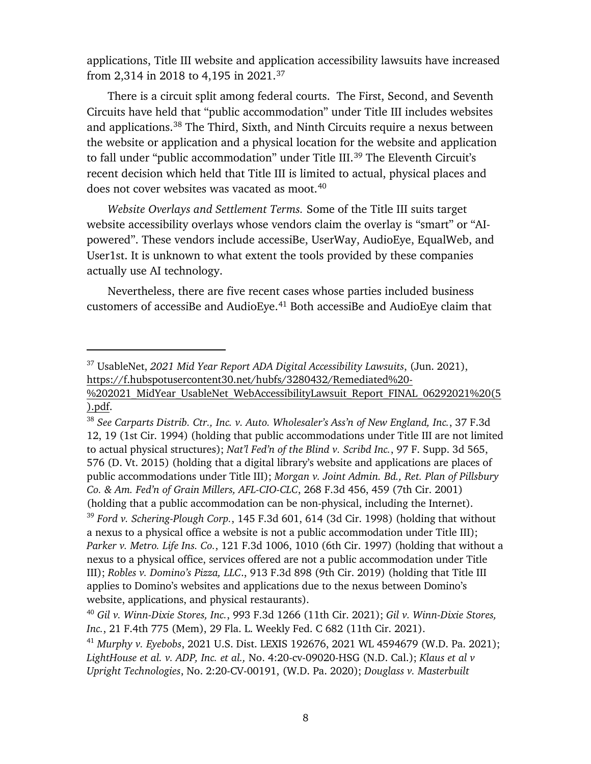applications, Title III website and application accessibility lawsuits have increased from 2,314 in 2018 to 4,195 in 2021[.37](#page-9-0)

There is a circuit split among federal courts. The First, Second, and Seventh Circuits have held that "public accommodation" under Title III includes websites and applications. [38](#page-9-1) The Third, Sixth, and Ninth Circuits require a nexus between the website or application and a physical location for the website and application to fall under "public accommodation" under Title III.<sup>[39](#page-9-2)</sup> The Eleventh Circuit's recent decision which held that Title III is limited to actual, physical places and does not cover websites was vacated as moot. [40](#page-9-3)

*Website Overlays and Settlement Terms.* Some of the Title III suits target website accessibility overlays whose vendors claim the overlay is "smart" or "AIpowered". These vendors include accessiBe, UserWay, AudioEye, EqualWeb, and User1st. It is unknown to what extent the tools provided by these companies actually use AI technology.

Nevertheless, there are five recent cases whose parties included business customers of accessiBe and AudioEye.<sup>[41](#page-9-4)</sup> Both accessiBe and AudioEye claim that

 $\overline{a}$ 

<span id="page-9-1"></span><sup>38</sup> *See Carparts Distrib. Ctr., Inc. v. Auto. Wholesaler's Ass'n of New England, Inc.*, 37 F.3d 12, 19 (1st Cir. 1994) (holding that public accommodations under Title III are not limited to actual physical structures); *Nat'l Fed'n of the Blind v. Scribd Inc.*, 97 F. Supp. 3d 565, 576 (D. Vt. 2015) (holding that a digital library's website and applications are places of public accommodations under Title III); *Morgan v. Joint Admin. Bd., Ret. Plan of Pillsbury Co. & Am. Fed'n of Grain Millers, AFL-CIO-CLC*, 268 F.3d 456, 459 (7th Cir. 2001) (holding that a public accommodation can be non-physical, including the Internet).

<span id="page-9-2"></span><sup>39</sup> *Ford v. Schering-Plough Corp.*, 145 F.3d 601, 614 (3d Cir. 1998) (holding that without a nexus to a physical office a website is not a public accommodation under Title III); *Parker v. Metro. Life Ins. Co.*, 121 F.3d 1006, 1010 (6th Cir. 1997) (holding that without a nexus to a physical office, services offered are not a public accommodation under Title III); *Robles v. Domino's Pizza, LLC*., 913 F.3d 898 (9th Cir. 2019) (holding that Title III applies to Domino's websites and applications due to the nexus between Domino's website, applications, and physical restaurants).

<span id="page-9-0"></span><sup>37</sup> UsableNet, *2021 Mid Year Report ADA Digital Accessibility Lawsuits*, (Jun. 2021), [https://f.hubspotusercontent30.net/hubfs/3280432/Remediated%20-](https://f.hubspotusercontent30.net/hubfs/3280432/Remediated%20-%202021_MidYear_UsableNet_WebAccessibilityLawsuit_Report_FINAL_06292021%20(5).pdf) %202021 MidYear UsableNet WebAccessibilityLawsuit Report FINAL 06292021%20(5 [\).pdf.](https://f.hubspotusercontent30.net/hubfs/3280432/Remediated%20-%202021_MidYear_UsableNet_WebAccessibilityLawsuit_Report_FINAL_06292021%20(5).pdf)

<span id="page-9-3"></span><sup>40</sup> *Gil v. Winn-Dixie Stores, Inc.*, 993 F.3d 1266 (11th Cir. 2021); *Gil v. Winn-Dixie Stores, Inc.*, 21 F.4th 775 (Mem), 29 Fla. L. Weekly Fed. C 682 (11th Cir. 2021).

<span id="page-9-4"></span><sup>41</sup> *Murphy v. Eyebobs*, 2021 U.S. Dist. LEXIS 192676, 2021 WL 4594679 (W.D. Pa. 2021); *LightHouse et al. v. ADP, Inc. et al.,* No. 4:20-cv-09020-HSG (N.D. Cal.); *Klaus et al v Upright Technologies*, No. 2:20-CV-00191, (W.D. Pa. 2020); *Douglass v. Masterbuilt*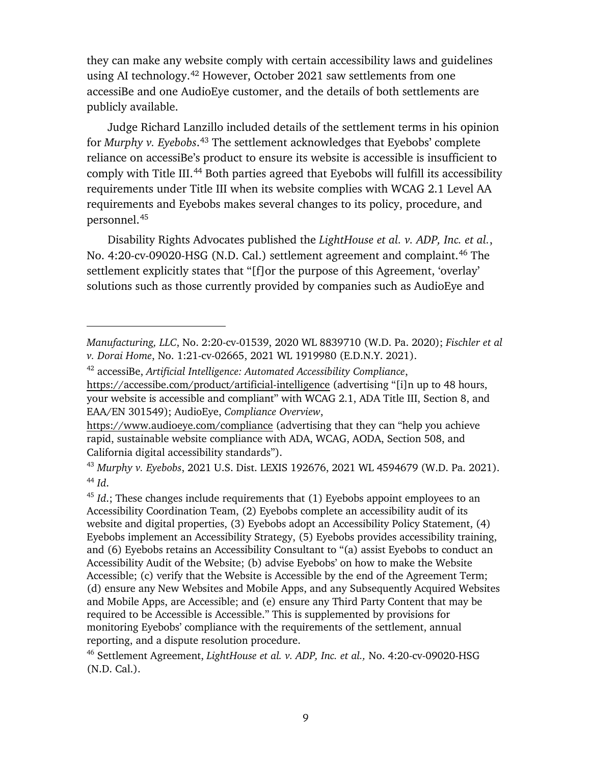they can make any website comply with certain accessibility laws and guidelines using AI technology. [42](#page-10-0) However, October 2021 saw settlements from one accessiBe and one AudioEye customer, and the details of both settlements are publicly available.

Judge Richard Lanzillo included details of the settlement terms in his opinion for *Murphy v. Eyebobs*. [43](#page-10-1) The settlement acknowledges that Eyebobs' complete reliance on accessiBe's product to ensure its website is accessible is insufficient to comply with Title III.<sup>[44](#page-10-2)</sup> Both parties agreed that Eyebobs will fulfill its accessibility requirements under Title III when its website complies with WCAG 2.1 Level AA requirements and Eyebobs makes several changes to its policy, procedure, and personnel.[45](#page-10-3)

Disability Rights Advocates published the *LightHouse et al. v. ADP, Inc. et al.*, No. 4:20-cv-09020-HSG (N.D. Cal.) settlement agreement and complaint.<sup>[46](#page-10-4)</sup> The settlement explicitly states that "[f]or the purpose of this Agreement, 'overlay' solutions such as those currently provided by companies such as AudioEye and

*Manufacturing, LLC*, No. 2:20-cv-01539, 2020 WL 8839710 (W.D. Pa. 2020); *Fischler et al v. Dorai Home*, No. 1:21-cv-02665, 2021 WL 1919980 (E.D.N.Y. 2021).

<span id="page-10-0"></span><sup>42</sup> accessiBe, *Artificial Intelligence: Automated Accessibility Compliance*, <https://accessibe.com/product/artificial-intelligence> (advertising "[i]n up to 48 hours, your website is accessible and compliant" with WCAG 2.1, ADA Title III, Section 8, and EAA/EN 301549); AudioEye, *Compliance Overview*,

<https://www.audioeye.com/compliance> (advertising that they can "help you achieve rapid, sustainable website compliance with ADA, WCAG, AODA, Section 508, and California digital accessibility standards").

<span id="page-10-2"></span><span id="page-10-1"></span><sup>43</sup> *Murphy v. Eyebobs*, 2021 U.S. Dist. LEXIS 192676, 2021 WL 4594679 (W.D. Pa. 2021). <sup>44</sup> *Id*.

<span id="page-10-3"></span><sup>&</sup>lt;sup>45</sup> *Id*.; These changes include requirements that (1) Eyebobs appoint employees to an Accessibility Coordination Team, (2) Eyebobs complete an accessibility audit of its website and digital properties, (3) Eyebobs adopt an Accessibility Policy Statement, (4) Eyebobs implement an Accessibility Strategy, (5) Eyebobs provides accessibility training, and (6) Eyebobs retains an Accessibility Consultant to "(a) assist Eyebobs to conduct an Accessibility Audit of the Website; (b) advise Eyebobs' on how to make the Website Accessible; (c) verify that the Website is Accessible by the end of the Agreement Term; (d) ensure any New Websites and Mobile Apps, and any Subsequently Acquired Websites and Mobile Apps, are Accessible; and (e) ensure any Third Party Content that may be required to be Accessible is Accessible." This is supplemented by provisions for monitoring Eyebobs' compliance with the requirements of the settlement, annual reporting, and a dispute resolution procedure.

<span id="page-10-4"></span><sup>46</sup> Settlement Agreement, *LightHouse et al. v. ADP, Inc. et al.,* No. 4:20-cv-09020-HSG (N.D. Cal.).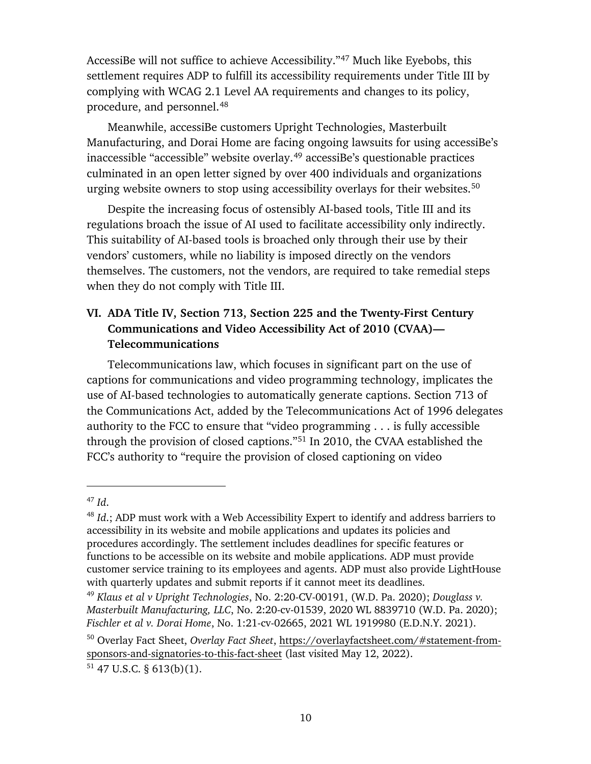AccessiBe will not suffice to achieve Accessibility."[47](#page-11-1) Much like Eyebobs, this settlement requires ADP to fulfill its accessibility requirements under Title III by complying with WCAG 2.1 Level AA requirements and changes to its policy, procedure, and personnel.[48](#page-11-2) 

Meanwhile, accessiBe customers Upright Technologies, Masterbuilt Manufacturing, and Dorai Home are facing ongoing lawsuits for using accessiBe's inaccessible "accessible" website overlay.<sup>[49](#page-11-3)</sup> accessiBe's questionable practices culminated in an open letter signed by over 400 individuals and organizations urging website owners to stop using accessibility overlays for their websites.<sup>[50](#page-11-4)</sup>

Despite the increasing focus of ostensibly AI-based tools, Title III and its regulations broach the issue of AI used to facilitate accessibility only indirectly. This suitability of AI-based tools is broached only through their use by their vendors' customers, while no liability is imposed directly on the vendors themselves. The customers, not the vendors, are required to take remedial steps when they do not comply with Title III.

# <span id="page-11-0"></span>**VI. ADA Title IV, Section 713, Section 225 and the Twenty-First Century Communications and Video Accessibility Act of 2010 (CVAA)— Telecommunications**

Telecommunications law, which focuses in significant part on the use of captions for communications and video programming technology, implicates the use of AI-based technologies to automatically generate captions. Section 713 of the Communications Act, added by the Telecommunications Act of 1996 delegates authority to the FCC to ensure that "video programming . . . is fully accessible through the provision of closed captions."[51](#page-11-5) In 2010, the CVAA established the FCC's authority to "require the provision of closed captioning on video

<span id="page-11-1"></span><sup>47</sup> *Id*.

<span id="page-11-2"></span><sup>48</sup> *Id*.; ADP must work with a Web Accessibility Expert to identify and address barriers to accessibility in its website and mobile applications and updates its policies and procedures accordingly. The settlement includes deadlines for specific features or functions to be accessible on its website and mobile applications. ADP must provide customer service training to its employees and agents. ADP must also provide LightHouse with quarterly updates and submit reports if it cannot meet its deadlines.<br><sup>49</sup> *Klaus et al v Upright Technologies*, No. 2:20-CV-00191, (W.D. Pa. 2020); *Douglass v*.

<span id="page-11-3"></span>*Masterbuilt Manufacturing, LLC*, No. 2:20-cv-01539, 2020 WL 8839710 (W.D. Pa. 2020); *Fischler et al v. Dorai Home*, No. 1:21-cv-02665, 2021 WL 1919980 (E.D.N.Y. 2021).

<span id="page-11-4"></span><sup>50</sup> Overlay Fact Sheet, *Overlay Fact Sheet*, [https://overlayfactsheet.com/#statement-from](https://overlayfactsheet.com/#statement-from-sponsors-and-signatories-to-this-fact-sheet)[sponsors-and-signatories-to-this-fact-sheet](https://overlayfactsheet.com/#statement-from-sponsors-and-signatories-to-this-fact-sheet) (last visited May 12, 2022).

<span id="page-11-5"></span> $51$  47 U.S.C. § 613(b)(1).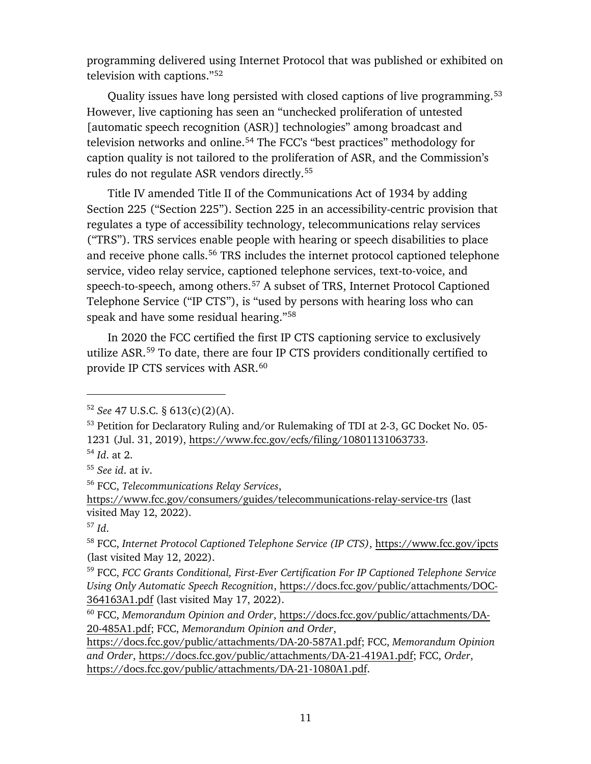programming delivered using Internet Protocol that was published or exhibited on television with captions."[52](#page-12-0)

Quality issues have long persisted with closed captions of live programming.<sup>[53](#page-12-1)</sup> However, live captioning has seen an "unchecked proliferation of untested [automatic speech recognition (ASR)] technologies" among broadcast and television networks and online.[54](#page-12-2) The FCC's "best practices" methodology for caption quality is not tailored to the proliferation of ASR, and the Commission's rules do not regulate ASR vendors directly. [55](#page-12-3)

Title IV amended Title II of the Communications Act of 1934 by adding Section 225 ("Section 225"). Section 225 in an accessibility-centric provision that regulates a type of accessibility technology, telecommunications relay services ("TRS"). TRS services enable people with hearing or speech disabilities to place and receive phone calls.<sup>[56](#page-12-4)</sup> TRS includes the internet protocol captioned telephone service, video relay service, captioned telephone services, text-to-voice, and speech-to-speech, among others. [57](#page-12-5) A subset of TRS, Internet Protocol Captioned Telephone Service ("IP CTS"), is "used by persons with hearing loss who can speak and have some residual hearing."[58](#page-12-6) 

In 2020 the FCC certified the first IP CTS captioning service to exclusively utilize ASR.[59](#page-12-7) To date, there are four IP CTS providers conditionally certified to provide IP CTS services with ASR.<sup>[60](#page-12-8)</sup>

 $\overline{a}$ 

[https://docs.fcc.gov/public/attachments/DA-20-587A1.pdf;](https://docs.fcc.gov/public/attachments/DA-20-587A1.pdf) FCC, *Memorandum Opinion and Order*, [https://docs.fcc.gov/public/attachments/DA-21-419A1.pdf;](https://docs.fcc.gov/public/attachments/DA-21-419A1.pdf) FCC, *Order*, [https://docs.fcc.gov/public/attachments/DA-21-1080A1.pdf.](https://docs.fcc.gov/public/attachments/DA-21-1080A1.pdf)

<span id="page-12-0"></span><sup>52</sup> *See* 47 U.S.C. § 613(c)(2)(A).

<span id="page-12-1"></span><sup>53</sup> Petition for Declaratory Ruling and/or Rulemaking of TDI at 2-3, GC Docket No. 05- 1231 (Jul. 31, 2019), [https://www.fcc.gov/ecfs/filing/10801131063733.](https://www.fcc.gov/ecfs/filing/10801131063733)

<span id="page-12-2"></span><sup>54</sup> *Id*. at 2.

<span id="page-12-3"></span><sup>55</sup> *See id*. at iv.

<span id="page-12-4"></span><sup>56</sup> FCC, *Telecommunications Relay Services*,

<https://www.fcc.gov/consumers/guides/telecommunications-relay-service-trs> (last visited May 12, 2022).

<span id="page-12-5"></span><sup>57</sup> *Id*.

<span id="page-12-6"></span><sup>58</sup> FCC, *Internet Protocol Captioned Telephone Service (IP CTS)*,<https://www.fcc.gov/ipcts> (last visited May 12, 2022).

<span id="page-12-7"></span><sup>59</sup> FCC, *FCC Grants Conditional, First-Ever Certification For IP Captioned Telephone Service Using Only Automatic Speech Recognition*, [https://docs.fcc.gov/public/attachments/DOC-](https://docs.fcc.gov/public/attachments/DOC-364163A1.pdf)[364163A1.pdf](https://docs.fcc.gov/public/attachments/DOC-364163A1.pdf) (last visited May 17, 2022).

<span id="page-12-8"></span><sup>60</sup> FCC, *Memorandum Opinion and Order*, [https://docs.fcc.gov/public/attachments/DA-](https://docs.fcc.gov/public/attachments/DA-20-485A1.pdf)[20-485A1.pdf;](https://docs.fcc.gov/public/attachments/DA-20-485A1.pdf) FCC, *Memorandum Opinion and Order*,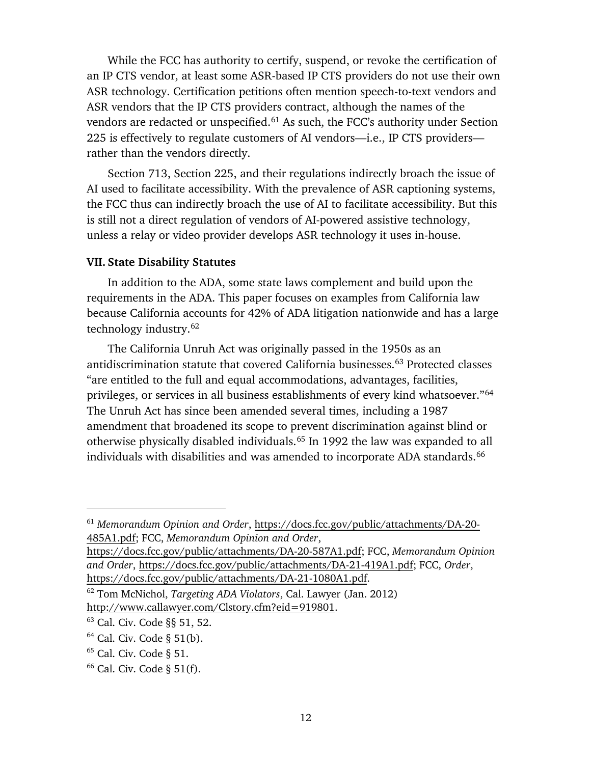While the FCC has authority to certify, suspend, or revoke the certification of an IP CTS vendor, at least some ASR-based IP CTS providers do not use their own ASR technology. Certification petitions often mention speech-to-text vendors and ASR vendors that the IP CTS providers contract, although the names of the vendors are redacted or unspecified.<sup>[61](#page-13-1)</sup> As such, the FCC's authority under Section 225 is effectively to regulate customers of AI vendors—i.e., IP CTS providers rather than the vendors directly.

Section 713, Section 225, and their regulations indirectly broach the issue of AI used to facilitate accessibility. With the prevalence of ASR captioning systems, the FCC thus can indirectly broach the use of AI to facilitate accessibility. But this is still not a direct regulation of vendors of AI-powered assistive technology, unless a relay or video provider develops ASR technology it uses in-house.

#### <span id="page-13-0"></span>**VII. State Disability Statutes**

In addition to the ADA, some state laws complement and build upon the requirements in the ADA. This paper focuses on examples from California law because California accounts for 42% of ADA litigation nationwide and has a large technology industry.[62](#page-13-2)

The California Unruh Act was originally passed in the 1950s as an antidiscrimination statute that covered California businesses[.63](#page-13-3) Protected classes "are entitled to the full and equal accommodations, advantages, facilities, privileges, or services in all business establishments of every kind whatsoever."[64](#page-13-4) The Unruh Act has since been amended several times, including a 1987 amendment that broadened its scope to prevent discrimination against blind or otherwise physically disabled individuals.[65](#page-13-5) In 1992 the law was expanded to all individuals with disabilities and was amended to incorporate ADA standards.<sup>[66](#page-13-6)</sup>

[https://docs.fcc.gov/public/attachments/DA-20-587A1.pdf;](https://docs.fcc.gov/public/attachments/DA-20-587A1.pdf) FCC, *Memorandum Opinion and Order*, [https://docs.fcc.gov/public/attachments/DA-21-419A1.pdf;](https://docs.fcc.gov/public/attachments/DA-21-419A1.pdf) FCC, *Order*, [https://docs.fcc.gov/public/attachments/DA-21-1080A1.pdf.](https://docs.fcc.gov/public/attachments/DA-21-1080A1.pdf)

<span id="page-13-1"></span><sup>61</sup> *Memorandum Opinion and Order*, [https://docs.fcc.gov/public/attachments/DA-20-](https://docs.fcc.gov/public/attachments/DA-20-485A1.pdf) [485A1.pdf;](https://docs.fcc.gov/public/attachments/DA-20-485A1.pdf) FCC, *Memorandum Opinion and Order*,

<span id="page-13-2"></span><sup>62</sup> Tom McNichol, *Targeting ADA Violators*, Cal. Lawyer (Jan. 2012) [http://www.callawyer.com/Clstory.cfm?eid=919801.](http://www.callawyer.com/Clstory.cfm?eid=919801)

<span id="page-13-3"></span><sup>63</sup> Cal. Civ. Code §§ 51, 52.

<span id="page-13-4"></span> $64$  Cal. Civ. Code § 51(b).

<span id="page-13-5"></span> $65$  Cal. Civ. Code § 51.

<span id="page-13-6"></span> $66$  Cal. Civ. Code § 51(f).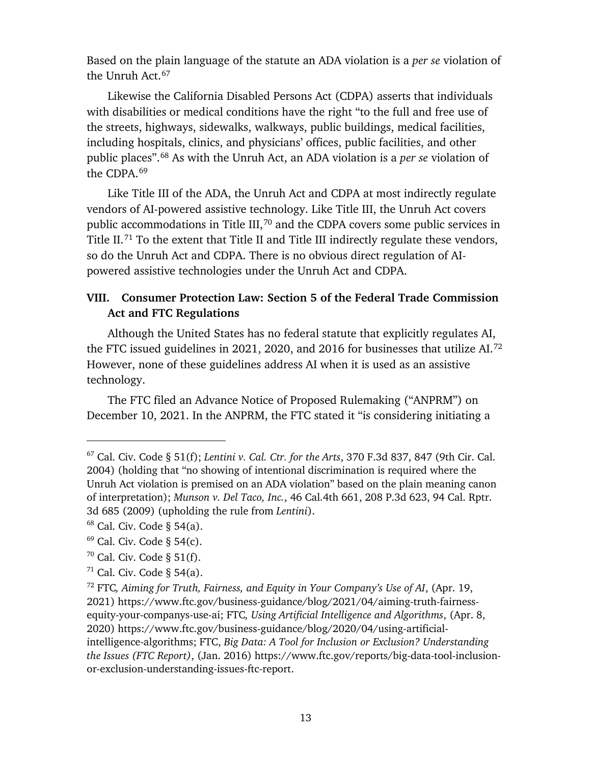Based on the plain language of the statute an ADA violation is a *per se* violation of the Unruh Act.<sup>[67](#page-14-1)</sup>

Likewise the California Disabled Persons Act (CDPA) asserts that individuals with disabilities or medical conditions have the right "to the full and free use of the streets, highways, sidewalks, walkways, public buildings, medical facilities, including hospitals, clinics, and physicians' offices, public facilities, and other public places".[68](#page-14-2) As with the Unruh Act, an ADA violation is a *per se* violation of the CDPA.[69](#page-14-3)

Like Title III of the ADA, the Unruh Act and CDPA at most indirectly regulate vendors of AI-powered assistive technology. Like Title III, the Unruh Act covers public accommodations in Title III,<sup>[70](#page-14-4)</sup> and the CDPA covers some public services in Title II.<sup>[71](#page-14-5)</sup> To the extent that Title II and Title III indirectly regulate these vendors, so do the Unruh Act and CDPA. There is no obvious direct regulation of AIpowered assistive technologies under the Unruh Act and CDPA.

# <span id="page-14-0"></span>**VIII. Consumer Protection Law: Section 5 of the Federal Trade Commission Act and FTC Regulations**

Although the United States has no federal statute that explicitly regulates AI, the FTC issued guidelines in 2021, 2020, and 2016 for businesses that utilize AI.[72](#page-14-6) However, none of these guidelines address AI when it is used as an assistive technology.

The FTC filed an Advance Notice of Proposed Rulemaking ("ANPRM") on December 10, 2021. In the ANPRM, the FTC stated it "is considering initiating a

<span id="page-14-1"></span><sup>67</sup> Cal. Civ. Code § 51(f); *Lentini v. Cal. Ctr. for the Arts*, 370 F.3d 837, 847 (9th Cir. Cal. 2004) (holding that "no showing of intentional discrimination is required where the Unruh Act violation is premised on an ADA violation" based on the plain meaning canon of interpretation); *Munson v. Del Taco, Inc.*, 46 Cal.4th 661, 208 P.3d 623, 94 Cal. Rptr. 3d 685 (2009) (upholding the rule from *Lentini*).

<span id="page-14-2"></span><sup>68</sup> Cal. Civ. Code § 54(a).

<span id="page-14-3"></span> $69$  Cal. Civ. Code § 54(c).

<span id="page-14-4"></span> $70$  Cal. Civ. Code § 51(f).

<span id="page-14-5"></span> $71$  Cal. Civ. Code § 54(a).

<span id="page-14-6"></span><sup>72</sup> FTC*, Aiming for Truth, Fairness, and Equity in Your Company's Use of AI*, (Apr. 19, 2021) https://www.ftc.gov/business-guidance/blog/2021/04/aiming-truth-fairnessequity-your-companys-use-ai; FTC*, Using Artificial Intelligence and Algorithms*, (Apr. 8, 2020) https://www.ftc.gov/business-guidance/blog/2020/04/using-artificialintelligence-algorithms; FTC, *Big Data: A Tool for Inclusion or Exclusion? Understanding the Issues (FTC Report)*, (Jan. 2016) https://www.ftc.gov/reports/big-data-tool-inclusionor-exclusion-understanding-issues-ftc-report.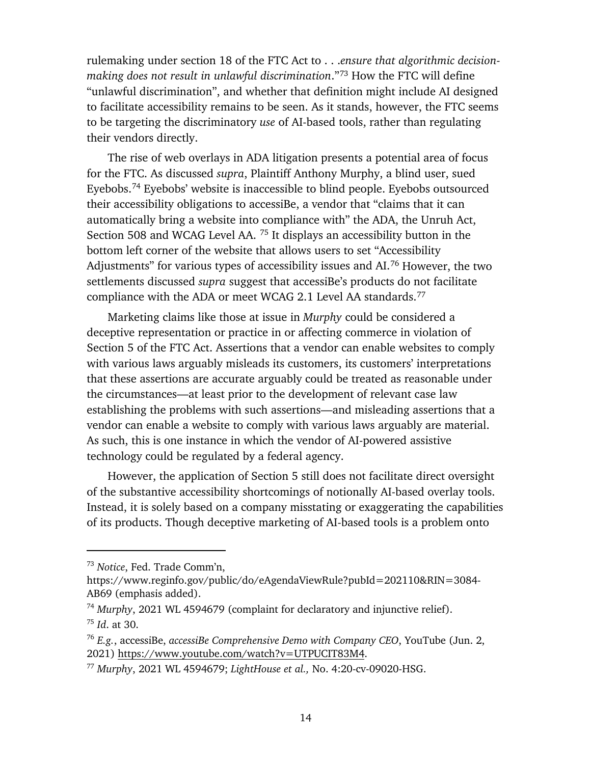rulemaking under section 18 of the FTC Act to . . .*ensure that algorithmic decisionmaking does not result in unlawful discrimination*."[73](#page-15-0) How the FTC will define "unlawful discrimination", and whether that definition might include AI designed to facilitate accessibility remains to be seen. As it stands, however, the FTC seems to be targeting the discriminatory *use* of AI-based tools, rather than regulating their vendors directly.

The rise of web overlays in ADA litigation presents a potential area of focus for the FTC. As discussed *supra*, Plaintiff Anthony Murphy, a blind user, sued Eyebobs. [74](#page-15-1) Eyebobs' website is inaccessible to blind people. Eyebobs outsourced their accessibility obligations to accessiBe, a vendor that "claims that it can automatically bring a website into compliance with" the ADA, the Unruh Act, Section 508 and WCAG Level AA. [75](#page-15-2) It displays an accessibility button in the bottom left corner of the website that allows users to set "Accessibility Adjustments" for various types of accessibility issues and AI.<sup>[76](#page-15-3)</sup> However, the two settlements discussed *supra* suggest that accessiBe's products do not facilitate compliance with the ADA or meet WCAG 2.1 Level AA standards.<sup>[77](#page-15-4)</sup>

Marketing claims like those at issue in *Murphy* could be considered a deceptive representation or practice in or affecting commerce in violation of Section 5 of the FTC Act. Assertions that a vendor can enable websites to comply with various laws arguably misleads its customers, its customers' interpretations that these assertions are accurate arguably could be treated as reasonable under the circumstances—at least prior to the development of relevant case law establishing the problems with such assertions—and misleading assertions that a vendor can enable a website to comply with various laws arguably are material. As such, this is one instance in which the vendor of AI-powered assistive technology could be regulated by a federal agency.

However, the application of Section 5 still does not facilitate direct oversight of the substantive accessibility shortcomings of notionally AI-based overlay tools. Instead, it is solely based on a company misstating or exaggerating the capabilities of its products. Though deceptive marketing of AI-based tools is a problem onto

<span id="page-15-0"></span><sup>73</sup> *Notice*, Fed. Trade Comm'n,

https://www.reginfo.gov/public/do/eAgendaViewRule?pubId=202110&RIN=3084- AB69 (emphasis added).

<span id="page-15-2"></span><span id="page-15-1"></span><sup>74</sup> *Murphy*, 2021 WL 4594679 (complaint for declaratory and injunctive relief). <sup>75</sup> *Id*. at 30.

<span id="page-15-3"></span><sup>76</sup> *E.g.*, accessiBe, *accessiBe Comprehensive Demo with Company CEO*, YouTube (Jun. 2, 2021) [https://www.youtube.com/watch?v=UTPUCIT83M4.](https://www.youtube.com/watch?v=UTPUCIT83M4)

<span id="page-15-4"></span><sup>77</sup> *Murphy*, 2021 WL 4594679; *LightHouse et al.,* No. 4:20-cv-09020-HSG.